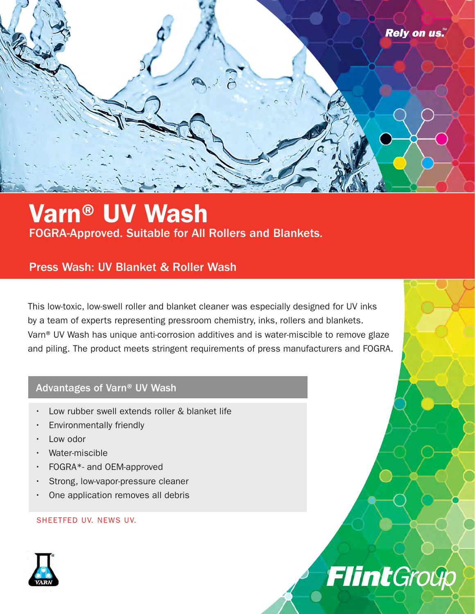

## Varn® UV Wash FOGRA-Approved. Suitable for All Rollers and Blankets.

### Press Wash: UV Blanket & Roller Wash

This low-toxic, low-swell roller and blanket cleaner was especially designed for UV inks by a team of experts representing pressroom chemistry, inks, rollers and blankets. Varn® UV Wash has unique anti-corrosion additives and is water-miscible to remove glaze and piling. The product meets stringent requirements of press manufacturers and FOGRA.

#### Advantages of Varn® UV Wash

- Low rubber swell extends roller & blanket life
- Environmentally friendly
- Low odor
- Water-miscible
- FOGRA\*- and OEM-approved
- Strong, low-vapor-pressure cleaner
- One application removes all debris

#### SHEETFED UV. NEWS UV.